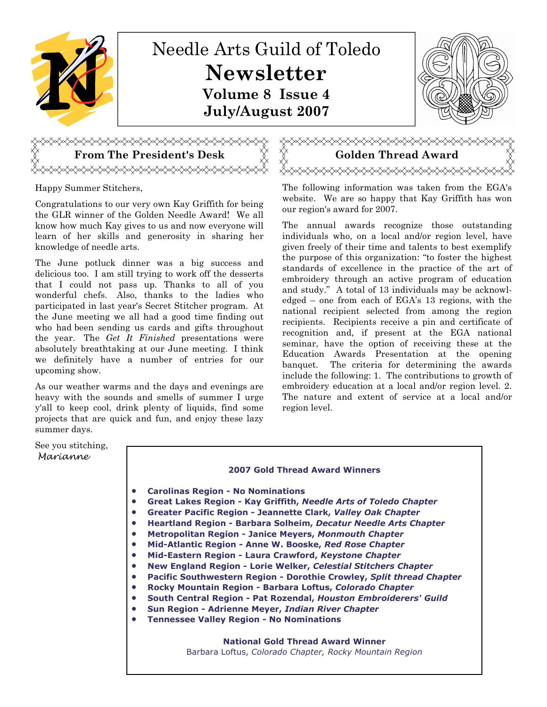

### Happy Summer Stitchers,

Congratulations to our very own Kay Griffith for being the GLR winner of the Golden Needle Award! We all know how much Kay gives to us and now everyone will learn of her skills and generosity in sharing her knowledge of needle arts.

yxxxxxxxxxxxxxxxxxxxxxxxxxxx

The June potluck dinner was a big success and delicious too. I am still trying to work off the desserts that I could not pass up. Thanks to all of you wonderful chefs. Also, thanks to the ladies who participated in last year's Secret Stitcher program. At the June meeting we all had a good time finding out who had been sending us cards and gifts throughout the year. The Get It Finished presentations were absolutely breathtaking at our June meeting. I think we definitely have a number of entries for our upcoming show.

As our weather warms and the days and evenings are heavy with the sounds and smells of summer I urge y'all to keep cool, drink plenty of liquids, find some projects that are quick and fun, and enjoy these lazy summer days.

# From The President's Desk  $\overleftrightarrow{\phantom{X}}\overleftrightarrow{\phantom{X}}$  Golden Thread Award <del></del>

The following information was taken from the EGA's website. We are so happy that Kay Griffith has won our region's award for 2007.

The annual awards recognize those outstanding individuals who, on a local and/or region level, have given freely of their time and talents to best exemplify the purpose of this organization: "to foster the highest standards of excellence in the practice of the art of embroidery through an active program of education and study." A total of 13 individuals may be acknowledged – one from each of EGA's 13 regions, with the national recipient selected from among the region recipients. Recipients receive a pin and certificate of recognition and, if present at the EGA national seminar, have the option of receiving these at the Education Awards Presentation at the opening banquet. The criteria for determining the awards include the following: 1. The contributions to growth of embroidery education at a local and/or region level. 2. The nature and extent of service at a local and/or region level.

#### See you stitching, Marianne

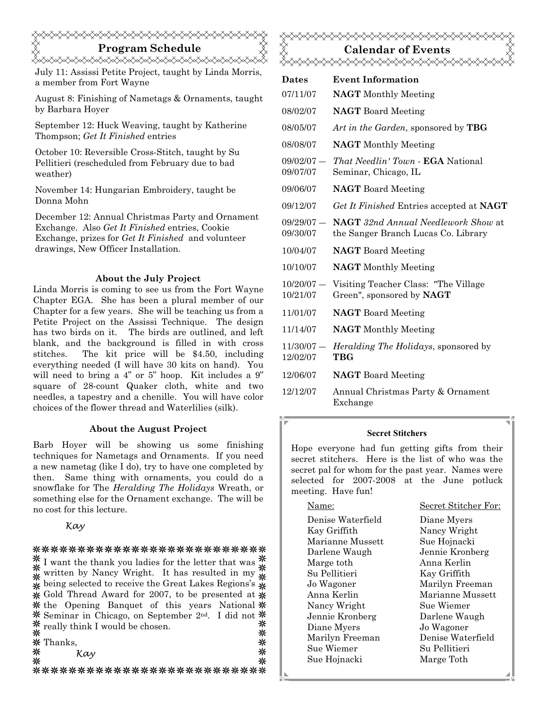## Program Schedule

July 11: Assissi Petite Project, taught by Linda Morris, a member from Fort Wayne

August 8: Finishing of Nametags & Ornaments, taught by Barbara Hoyer

September 12: Huck Weaving, taught by Katherine Thompson; Get It Finished entries

October 10: Reversible Cross-Stitch, taught by Su Pellitieri (rescheduled from February due to bad weather)

November 14: Hungarian Embroidery, taught be Donna Mohn

December 12: Annual Christmas Party and Ornament Exchange. Also Get It Finished entries, Cookie Exchange, prizes for Get It Finished and volunteer drawings, New Officer Installation.

#### About the July Project

Linda Morris is coming to see us from the Fort Wayne Chapter EGA. She has been a plural member of our Chapter for a few years. She will be teaching us from a Petite Project on the Assissi Technique. The design has two birds on it. The birds are outlined, and left blank, and the background is filled in with cross stitches. The kit price will be \$4.50, including everything needed (I will have 30 kits on hand). You will need to bring a 4" or 5" hoop. Kit includes a 9" square of 28-count Quaker cloth, white and two needles, a tapestry and a chenille. You will have color choices of the flower thread and Waterlilies (silk).

#### About the August Project

Barb Hoyer will be showing us some finishing techniques for Nametags and Ornaments. If you need a new nametag (like I do), try to have one completed by then. Same thing with ornaments, you could do a snowflake for The Heralding The Holidays Wreath, or something else for the Ornament exchange. The will be no cost for this lecture.

Kay

#### \*\*\*\*\*\*\*\*\*\*\*\*\*\*\*\*\*\*\*\*\*\*\*\*\*\*

 $*$ I want the thank you ladies for the letter that was  $*$  $\stackrel{\text{\#}}{\ast}$  written by Nancy Wright. It has resulted in my  $\stackrel{\text{\#}}{\ast}$  $\stackrel{\curvearrowleft}{\ast}$  being selected to receive the Great Lakes Regions's  $\stackrel{\curvearrowleft}{\ast}$  $\angle$  Gold Thread Award for 2007, to be presented at  $\angle$  $*$  the Opening Banquet of this years National  $*$ Seminar in Chicago, on September 2nd. I did not  $*$  really think I would be chosen. ⋇ ⋇ ⋇ Thanks, ⋇

⋇ Kay

⋇

米

米

\*\*\*\*\*\*\*\*\*\*\*\*\*\*\*\*\*\*\*\*\*\*\*\*\*\*\*

## Calendar of Events <del></del>

| <b>Dates</b>             | <b>Event Information</b>                                                          |
|--------------------------|-----------------------------------------------------------------------------------|
| 07/11/07                 | <b>NAGT</b> Monthly Meeting                                                       |
| 08/02/07                 | <b>NAGT</b> Board Meeting                                                         |
| 08/05/07                 | Art in the Garden, sponsored by <b>TBG</b>                                        |
| 08/08/07                 | <b>NAGT</b> Monthly Meeting                                                       |
| $09/02/07 -$<br>09/07/07 | <i>That Needlin' Town - EGA National</i><br>Seminar, Chicago, IL                  |
| 09/06/07                 | <b>NAGT</b> Board Meeting                                                         |
| 09/12/07                 | Get It Finished Entries accepted at NAGT                                          |
| $09/29/07 -$<br>09/30/07 | <b>NAGT</b> 32nd Annual Needlework Show at<br>the Sanger Branch Lucas Co. Library |
| 10/04/07                 | <b>NAGT</b> Board Meeting                                                         |
| 10/10/07                 | <b>NAGT</b> Monthly Meeting                                                       |
| $10/20/07 -$<br>10/21/07 | Visiting Teacher Class: "The Village<br>Green", sponsored by NAGT                 |
| 11/01/07                 | <b>NAGT</b> Board Meeting                                                         |
| 11/14/07                 | <b>NAGT</b> Monthly Meeting                                                       |
| $11/30/07 -$<br>12/02/07 | <i>Heralding The Holidays</i> , sponsored by<br>TBG                               |
| 12/06/07                 | <b>NAGT</b> Board Meeting                                                         |
| 12/12/07                 | Annual Christmas Party & Ornament<br>Exchange                                     |

#### Secret Stitchers

Hope everyone had fun getting gifts from their secret stitchers. Here is the list of who was the secret pal for whom for the past year. Names were selected for 2007-2008 at the June potluck meeting. Have fun!

| Name:             | Secret Stitcher For: |
|-------------------|----------------------|
| Denise Waterfield | Diane Myers          |
| Kay Griffith      | Nancy Wright         |
| Marianne Mussett  | Sue Hojnacki         |
| Darlene Waugh     | Jennie Kronberg      |
| Marge toth        | Anna Kerlin          |
| Su Pellitieri     | Kay Griffith         |
| Jo Wagoner        | Marilyn Freeman      |
| Anna Kerlin       | Marianne Mussett     |
| Nancy Wright      | Sue Wiemer           |
| Jennie Kronberg   | Darlene Waugh        |
| Diane Myers       | Jo Wagoner           |
| Marilyn Freeman   | Denise Waterfield    |
| Sue Wiemer        | Su Pellitieri        |
| Sue Hojnacki      | Marge Toth           |
|                   |                      |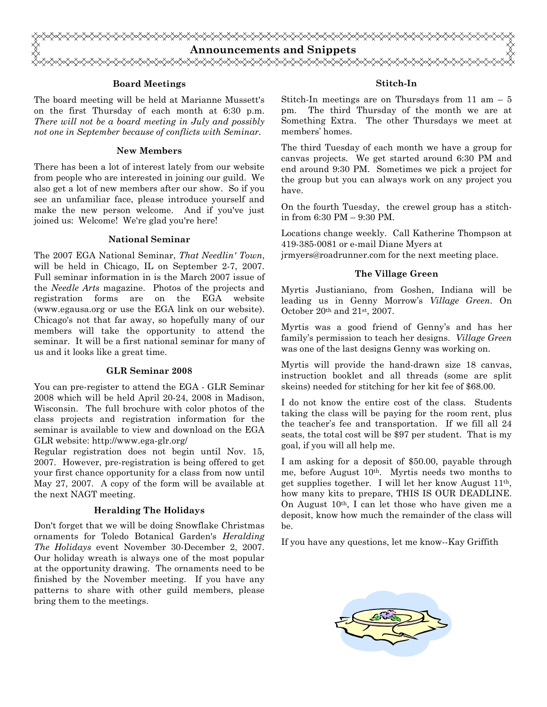

#### Board Meetings

The board meeting will be held at Marianne Mussett's on the first Thursday of each month at 6:30 p.m. There will not be a board meeting in July and possibly not one in September because of conflicts with Seminar.

#### New Members

There has been a lot of interest lately from our website from people who are interested in joining our guild. We also get a lot of new members after our show. So if you see an unfamiliar face, please introduce yourself and make the new person welcome. And if you've just joined us: Welcome! We're glad you're here!

#### National Seminar

The 2007 EGA National Seminar, That Needlin' Town, will be held in Chicago, IL on September 2-7, 2007. Full seminar information in is the March 2007 issue of the Needle Arts magazine. Photos of the projects and registration forms are on the EGA website (www.egausa.org or use the EGA link on our website). Chicago's not that far away, so hopefully many of our members will take the opportunity to attend the seminar. It will be a first national seminar for many of us and it looks like a great time.

#### GLR Seminar 2008

You can pre-register to attend the EGA - GLR Seminar 2008 which will be held April 20-24, 2008 in Madison, Wisconsin. The full brochure with color photos of the class projects and registration information for the seminar is available to view and download on the EGA GLR website: http://www.ega-glr.org/

Regular registration does not begin until Nov. 15, 2007. However, pre-registration is being offered to get your first chance opportunity for a class from now until May 27, 2007. A copy of the form will be available at the next NAGT meeting.

#### Heralding The Holidays

Don't forget that we will be doing Snowflake Christmas ornaments for Toledo Botanical Garden's Heralding The Holidays event November 30-December 2, 2007. Our holiday wreath is always one of the most popular at the opportunity drawing. The ornaments need to be finished by the November meeting. If you have any patterns to share with other guild members, please bring them to the meetings.

#### Stitch-In

Stitch-In meetings are on Thursdays from 11 am  $-5$ pm. The third Thursday of the month we are at Something Extra. The other Thursdays we meet at members' homes.

The third Tuesday of each month we have a group for canvas projects. We get started around 6:30 PM and end around 9:30 PM. Sometimes we pick a project for the group but you can always work on any project you have.

On the fourth Tuesday, the crewel group has a stitchin from 6:30 PM – 9:30 PM.

Locations change weekly. Call Katherine Thompson at 419-385-0081 or e-mail Diane Myers at jrmyers@roadrunner.com for the next meeting place.

#### The Village Green

Myrtis Justianiano, from Goshen, Indiana will be leading us in Genny Morrow's Village Green. On October 20th and 21st, 2007.

Myrtis was a good friend of Genny's and has her family's permission to teach her designs. Village Green was one of the last designs Genny was working on.

Myrtis will provide the hand-drawn size 18 canvas, instruction booklet and all threads (some are split skeins) needed for stitching for her kit fee of \$68.00.

I do not know the entire cost of the class. Students taking the class will be paying for the room rent, plus the teacher's fee and transportation. If we fill all 24 seats, the total cost will be \$97 per student. That is my goal, if you will all help me.

I am asking for a deposit of \$50.00, payable through me, before August 10th. Myrtis needs two months to get supplies together. I will let her know August 11th, how many kits to prepare, THIS IS OUR DEADLINE. On August  $10<sup>th</sup>$ , I can let those who have given me a deposit, know how much the remainder of the class will be.

If you have any questions, let me know--Kay Griffith

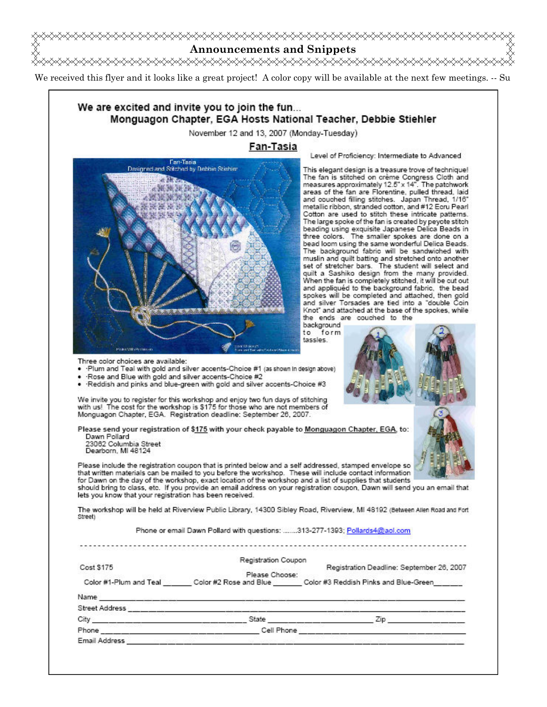

We received this flyer and it looks like a great project! A color copy will be available at the next few meetings. -- Su

## We are excited and invite you to join the fun... Monguagon Chapter, EGA Hosts National Teacher, Debbie Stiehler

November 12 and 13, 2007 (Monday-Tuesday)

#### Fan-Tasia



Level of Proficiency: Intermediate to Advanced

This elegant design is a treasure trove of technique! The fan is stitched on crème Congress Cloth and<br>measures approximately 12.5" x 14". The patchwork<br>areas of the fan are Florentine, pulled thread, laid and couched filling stitches. Japan Thread, 1/16" metallic ribbon, stranded cotton, and #12 Ecru Pearl Cotton are used to stitch these intricate patterns. The large spoke of the fan is created by peyote stitch beading using exquisite Japanese Delica Beads in three colors. The smaller spokes are done on a bead loom using the same wonderful Delica Beads. The background fabric will be sandwiched with muslin and quilt batting and stretched onto another set of stretcher bars. The student will select and quilt a Sashiko design from the many provided. When the fan is completely stitched, it will be cut out and appliquéd to the background fabric, the bead spokes will be completed and attached, then gold and silver Torsades are tied into a "double Coin Knot" and attached at the base of the spokes, while the ends are couched to the

background<br>to form tassles.



. Plum and Teal with gold and silver accents-Choice #1 (as shown in design above) Rose and Blue with gold and silver accents-Choice #2

Three color choices are available:

. Reddish and pinks and blue-green with gold and silver accents-Choice #3

We invite you to register for this workshop and enjoy two fun days of stitching with us! The cost for the workshop is \$175 for those who are not members of Monguagon Chapter, EGA. Registration deadline: September 26, 2007.

Please send your registration of \$175 with your check payable to Monguagon Chapter, EGA, to: Dawn Pollard

23062 Columbia Street Dearborn, MI 48124

Please include the registration coupon that is printed below and a self addressed, stamped envelope so that written materials can be mailed to you before the workshop. These will include contact information for Dawn on the day of the workshop, exact location of the workshop and a list of supplies that students

should bring to class, etc. If you provide an email address on your registration coupon, Dawn will send you an email that lets you know that your registration has been received.

The workshop will be held at Riverview Public Library, 14300 Sibley Road, Riverview, MI 48192 (Between Allen Road and Fort Street)

Phone or email Dawn Pollard with questions: .......313-277-1393; Pollards4@aol.com

|                        | Registration Coupon |                                                              |
|------------------------|---------------------|--------------------------------------------------------------|
| Cost \$175             |                     | Registration Deadline: September 26, 2007                    |
|                        | Please Choose:      |                                                              |
| Color #1-Plum and Teal |                     | Color #2 Rose and Blue Color #3 Reddish Pinks and Blue-Green |
| Name                   |                     |                                                              |
| Street Address         |                     |                                                              |
| City                   | State               | Zip                                                          |
| Phone                  | Cell Phone          |                                                              |
|                        |                     |                                                              |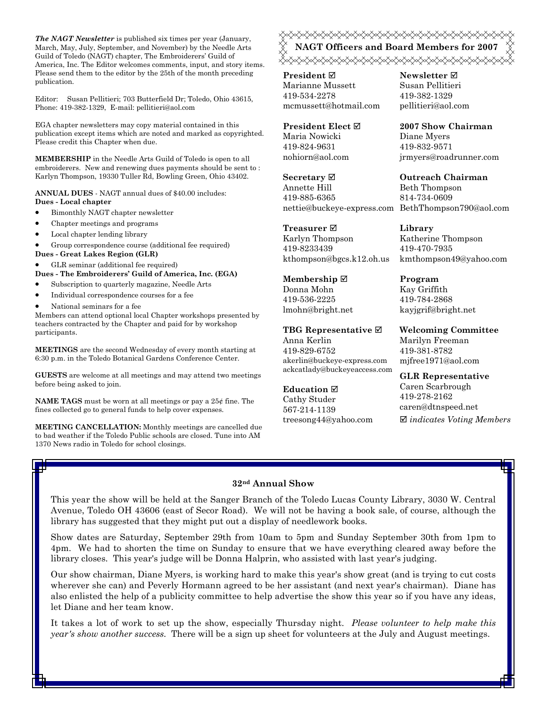The NAGT Newsletter is published six times per year (January, March, May, July, September, and November) by the Needle Arts Guild of Toledo (NAGT) chapter, The Embroiderers' Guild of America, Inc. The Editor welcomes comments, input, and story items. Please send them to the editor by the 25th of the month preceding publication.

Editor: Susan Pellitieri; 703 Butterfield Dr; Toledo, Ohio 43615, Phone: 419-382-1329, E-mail: pellitieri@aol.com

EGA chapter newsletters may copy material contained in this publication except items which are noted and marked as copyrighted. Please credit this Chapter when due.

MEMBERSHIP in the Needle Arts Guild of Toledo is open to all embroiderers. New and renewing dues payments should be sent to : Karlyn Thompson, 19330 Tuller Rd, Bowling Green, Ohio 43402.

ANNUAL DUES - NAGT annual dues of \$40.00 includes: Dues - Local chapter

- Bimonthly NAGT chapter newsletter
- Chapter meetings and programs
- Local chapter lending library

• Group correspondence course (additional fee required)

Dues - Great Lakes Region (GLR)

• GLR seminar (additional fee required)

Dues - The Embroiderers' Guild of America, Inc. (EGA)

- Subscription to quarterly magazine, Needle Arts
- Individual correspondence courses for a fee
- National seminars for a fee

Members can attend optional local Chapter workshops presented by teachers contracted by the Chapter and paid for by workshop participants.

MEETINGS are the second Wednesday of every month starting at 6:30 p.m. in the Toledo Botanical Gardens Conference Center.

GUESTS are welcome at all meetings and may attend two meetings before being asked to join.

**NAME TAGS** must be worn at all meetings or pay a  $25¢$  fine. The fines collected go to general funds to help cover expenses.

MEETING CANCELLATION: Monthly meetings are cancelled due to bad weather if the Toledo Public schools are closed. Tune into AM 1370 News radio in Toledo for school closings.

NAGT Officers and Board Members for 2007 

**President** ⊠ Marianne Mussett 419-534-2278 mcmussett@hotmail.com

President Elect Maria Nowicki 419-824-9631 nohiorn@aol.com

Secretary **Ø** Annette Hill 419-885-6365 nettie@buckeye-express.com BethThompson790@aol.com

Treasurer **Ø** Karlyn Thompson 419-8233439 kthompson@bgcs.k12.oh.us

Membership ⊠ Donna Mohn 419-536-2225 lmohn@bright.net

TBG Representative  $□$ Anna Kerlin 419-829-6752 akerlin@buckeye-express.com ackcatlady@buckeyeaccess.com

#### Education  $\boxtimes$

Cathy Studer 567-214-1139 treesong44@yahoo.com Newsletter **Ø** Susan Pellitieri 419-382-1329 pellitieri@aol.com

2007 Show Chairman Diane Myers 419-832-9571 jrmyers@roadrunner.com

Outreach Chairman Beth Thompson 814-734-0609

Library Katherine Thompson 419-470-7935 kmthompson49@yahoo.com

Program Kay Griffith 419-784-2868 kayjgrif@bright.net

Welcoming Committee Marilyn Freeman 419-381-8782 mjfree1971@aol.com

GLR Representative Caren Scarbrough 419-278-2162 caren@dtnspeed.net  $\boxtimes$  indicates Voting Members

#### 32nd Annual Show

This year the show will be held at the Sanger Branch of the Toledo Lucas County Library, 3030 W. Central Avenue, Toledo OH 43606 (east of Secor Road). We will not be having a book sale, of course, although the library has suggested that they might put out a display of needlework books.

Show dates are Saturday, September 29th from 10am to 5pm and Sunday September 30th from 1pm to 4pm. We had to shorten the time on Sunday to ensure that we have everything cleared away before the library closes. This year's judge will be Donna Halprin, who assisted with last year's judging.

Our show chairman, Diane Myers, is working hard to make this year's show great (and is trying to cut costs wherever she can) and Peverly Hormann agreed to be her assistant (and next year's chairman). Diane has also enlisted the help of a publicity committee to help advertise the show this year so if you have any ideas, let Diane and her team know.

It takes a lot of work to set up the show, especially Thursday night. Please volunteer to help make this year's show another success. There will be a sign up sheet for volunteers at the July and August meetings.